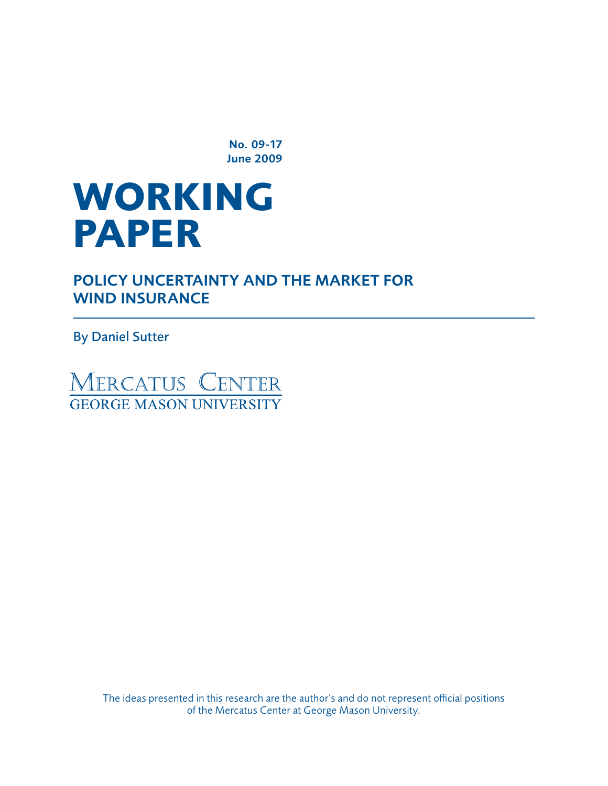No. 09-17 June 2009

# **WORKING paper**

Policy Uncertainty and the Market for WIND INSURANCE

By Daniel Sutter

**MERCATUS CENTER**<br>GEORGE MASON UNIVERSITY

The ideas presented in this research are the author's and do not represent official positions of the Mercatus Center at George Mason University.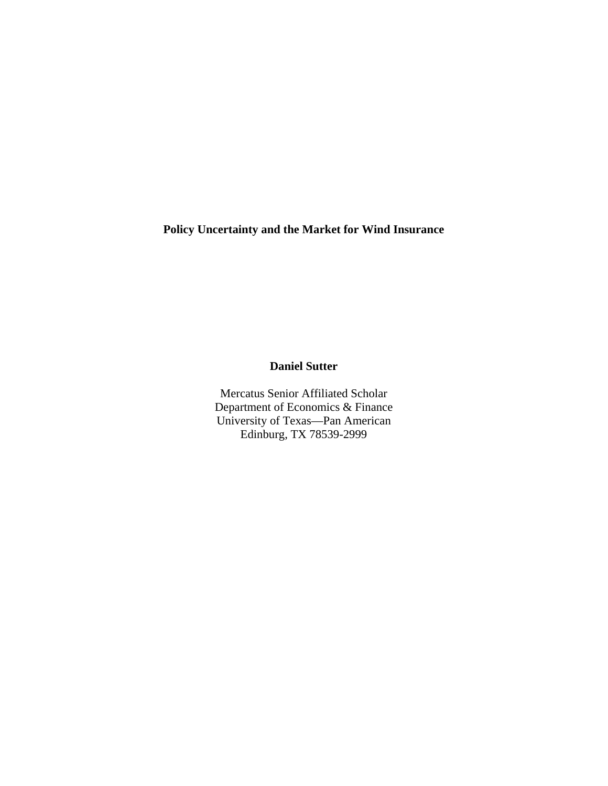**Policy Uncertainty and the Market for Wind Insurance**

#### **Daniel Sutter**

Mercatus Senior Affiliated Scholar Department of Economics & Finance University of Texas—Pan American Edinburg, TX 78539-2999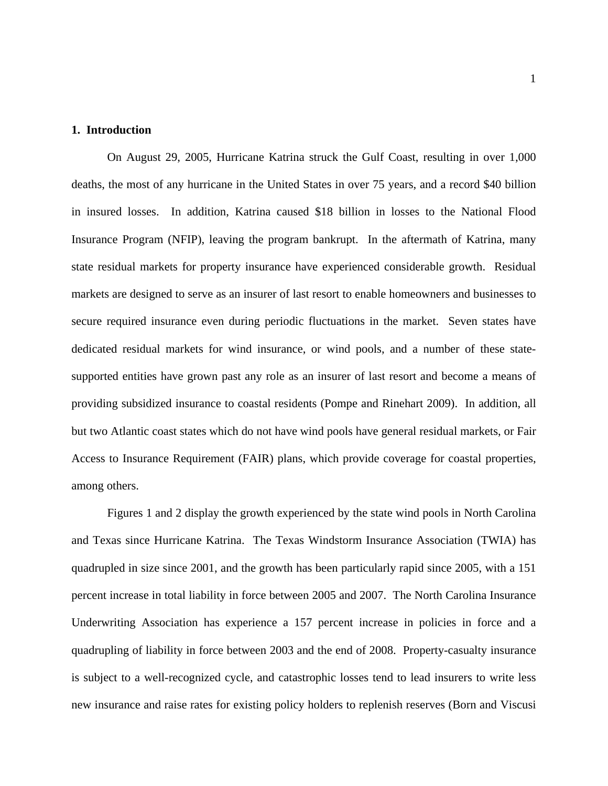#### **1. Introduction**

 On August 29, 2005, Hurricane Katrina struck the Gulf Coast, resulting in over 1,000 deaths, the most of any hurricane in the United States in over 75 years, and a record \$40 billion in insured losses. In addition, Katrina caused \$18 billion in losses to the National Flood Insurance Program (NFIP), leaving the program bankrupt. In the aftermath of Katrina, many state residual markets for property insurance have experienced considerable growth. Residual markets are designed to serve as an insurer of last resort to enable homeowners and businesses to secure required insurance even during periodic fluctuations in the market. Seven states have dedicated residual markets for wind insurance, or wind pools, and a number of these statesupported entities have grown past any role as an insurer of last resort and become a means of providing subsidized insurance to coastal residents (Pompe and Rinehart 2009). In addition, all but two Atlantic coast states which do not have wind pools have general residual markets, or Fair Access to Insurance Requirement (FAIR) plans, which provide coverage for coastal properties, among others.

 Figures 1 and 2 display the growth experienced by the state wind pools in North Carolina and Texas since Hurricane Katrina. The Texas Windstorm Insurance Association (TWIA) has quadrupled in size since 2001, and the growth has been particularly rapid since 2005, with a 151 percent increase in total liability in force between 2005 and 2007. The North Carolina Insurance Underwriting Association has experience a 157 percent increase in policies in force and a quadrupling of liability in force between 2003 and the end of 2008. Property-casualty insurance is subject to a well-recognized cycle, and catastrophic losses tend to lead insurers to write less new insurance and raise rates for existing policy holders to replenish reserves (Born and Viscusi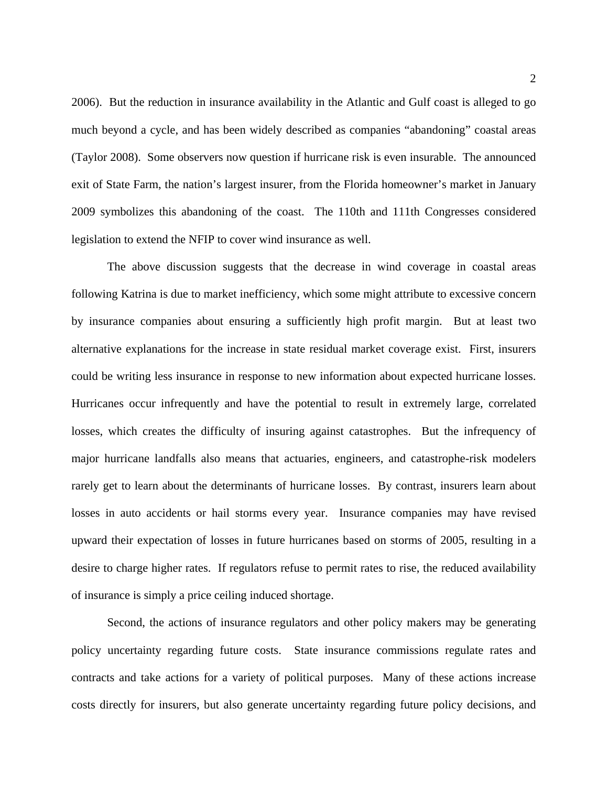2006). But the reduction in insurance availability in the Atlantic and Gulf coast is alleged to go much beyond a cycle, and has been widely described as companies "abandoning" coastal areas (Taylor 2008). Some observers now question if hurricane risk is even insurable. The announced exit of State Farm, the nation's largest insurer, from the Florida homeowner's market in January 2009 symbolizes this abandoning of the coast. The 110th and 111th Congresses considered legislation to extend the NFIP to cover wind insurance as well.

 The above discussion suggests that the decrease in wind coverage in coastal areas following Katrina is due to market inefficiency, which some might attribute to excessive concern by insurance companies about ensuring a sufficiently high profit margin. But at least two alternative explanations for the increase in state residual market coverage exist. First, insurers could be writing less insurance in response to new information about expected hurricane losses. Hurricanes occur infrequently and have the potential to result in extremely large, correlated losses, which creates the difficulty of insuring against catastrophes. But the infrequency of major hurricane landfalls also means that actuaries, engineers, and catastrophe-risk modelers rarely get to learn about the determinants of hurricane losses. By contrast, insurers learn about losses in auto accidents or hail storms every year. Insurance companies may have revised upward their expectation of losses in future hurricanes based on storms of 2005, resulting in a desire to charge higher rates. If regulators refuse to permit rates to rise, the reduced availability of insurance is simply a price ceiling induced shortage.

 Second, the actions of insurance regulators and other policy makers may be generating policy uncertainty regarding future costs. State insurance commissions regulate rates and contracts and take actions for a variety of political purposes. Many of these actions increase costs directly for insurers, but also generate uncertainty regarding future policy decisions, and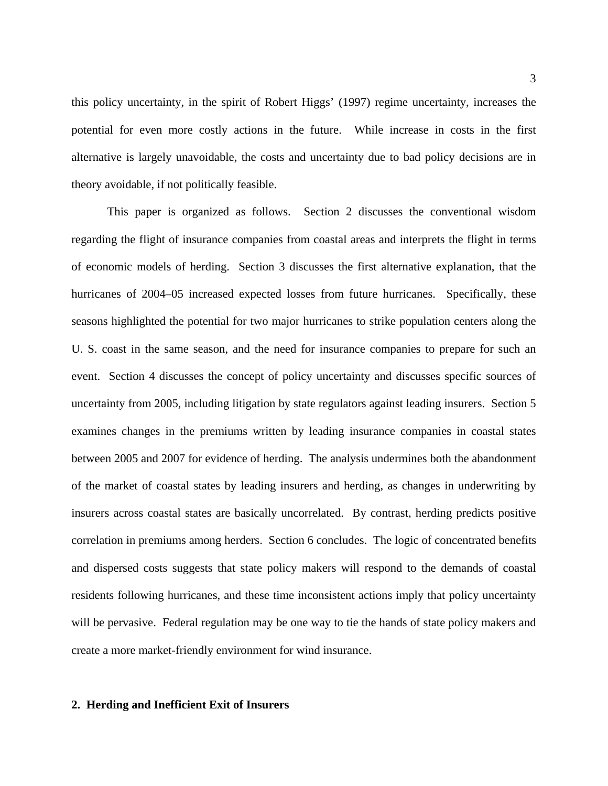this policy uncertainty, in the spirit of Robert Higgs' (1997) regime uncertainty, increases the potential for even more costly actions in the future. While increase in costs in the first alternative is largely unavoidable, the costs and uncertainty due to bad policy decisions are in theory avoidable, if not politically feasible.

 This paper is organized as follows. Section 2 discusses the conventional wisdom regarding the flight of insurance companies from coastal areas and interprets the flight in terms of economic models of herding. Section 3 discusses the first alternative explanation, that the hurricanes of 2004–05 increased expected losses from future hurricanes. Specifically, these seasons highlighted the potential for two major hurricanes to strike population centers along the U. S. coast in the same season, and the need for insurance companies to prepare for such an event. Section 4 discusses the concept of policy uncertainty and discusses specific sources of uncertainty from 2005, including litigation by state regulators against leading insurers. Section 5 examines changes in the premiums written by leading insurance companies in coastal states between 2005 and 2007 for evidence of herding. The analysis undermines both the abandonment of the market of coastal states by leading insurers and herding, as changes in underwriting by insurers across coastal states are basically uncorrelated. By contrast, herding predicts positive correlation in premiums among herders. Section 6 concludes. The logic of concentrated benefits and dispersed costs suggests that state policy makers will respond to the demands of coastal residents following hurricanes, and these time inconsistent actions imply that policy uncertainty will be pervasive. Federal regulation may be one way to tie the hands of state policy makers and create a more market-friendly environment for wind insurance.

#### **2. Herding and Inefficient Exit of Insurers**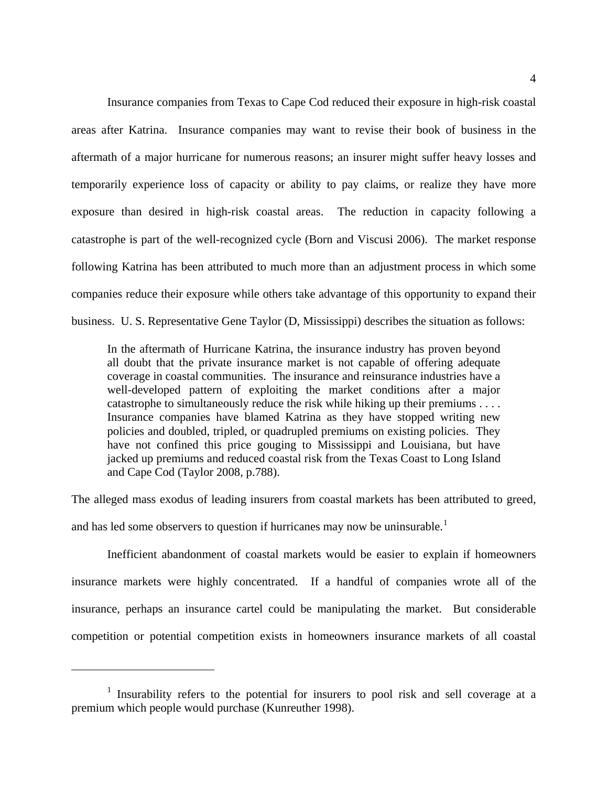Insurance companies from Texas to Cape Cod reduced their exposure in high-risk coastal areas after Katrina. Insurance companies may want to revise their book of business in the aftermath of a major hurricane for numerous reasons; an insurer might suffer heavy losses and temporarily experience loss of capacity or ability to pay claims, or realize they have more exposure than desired in high-risk coastal areas. The reduction in capacity following a catastrophe is part of the well-recognized cycle (Born and Viscusi 2006). The market response following Katrina has been attributed to much more than an adjustment process in which some companies reduce their exposure while others take advantage of this opportunity to expand their business. U. S. Representative Gene Taylor (D, Mississippi) describes the situation as follows:

In the aftermath of Hurricane Katrina, the insurance industry has proven beyond all doubt that the private insurance market is not capable of offering adequate coverage in coastal communities. The insurance and reinsurance industries have a well-developed pattern of exploiting the market conditions after a major catastrophe to simultaneously reduce the risk while hiking up their premiums . . . . Insurance companies have blamed Katrina as they have stopped writing new policies and doubled, tripled, or quadrupled premiums on existing policies. They have not confined this price gouging to Mississippi and Louisiana, but have jacked up premiums and reduced coastal risk from the Texas Coast to Long Island and Cape Cod (Taylor 2008, p.788).

The alleged mass exodus of leading insurers from coastal markets has been attributed to greed, and has led some observers to question if hurricanes may now be uninsurable.<sup>[1](#page-6-0)</sup>

 Inefficient abandonment of coastal markets would be easier to explain if homeowners insurance markets were highly concentrated. If a handful of companies wrote all of the insurance, perhaps an insurance cartel could be manipulating the market. But considerable competition or potential competition exists in homeowners insurance markets of all coastal

<span id="page-6-0"></span><sup>&</sup>lt;sup>1</sup> Insurability refers to the potential for insurers to pool risk and sell coverage at a premium which people would purchase (Kunreuther 1998).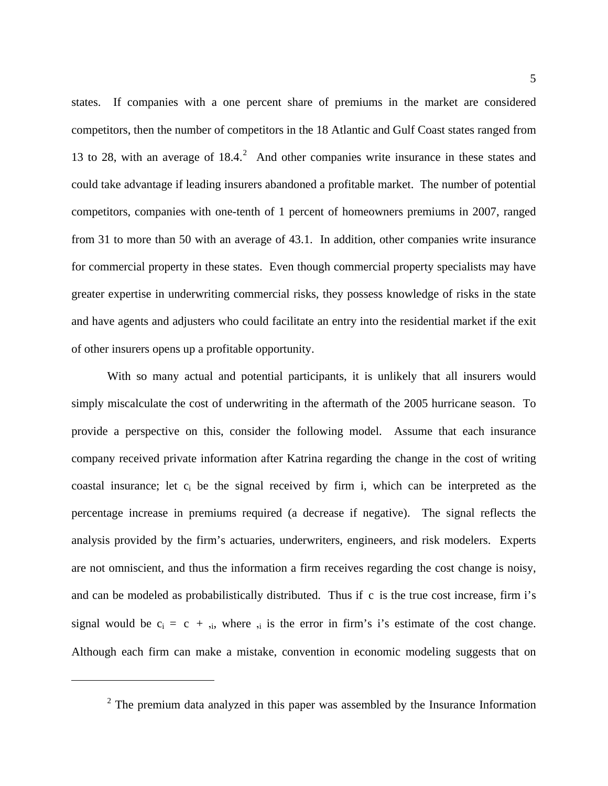states. If companies with a one percent share of premiums in the market are considered competitors, then the number of competitors in the 18 Atlantic and Gulf Coast states ranged from 13 to [2](#page-7-0)8, with an average of  $18.4$ .<sup>2</sup> And other companies write insurance in these states and could take advantage if leading insurers abandoned a profitable market. The number of potential competitors, companies with one-tenth of 1 percent of homeowners premiums in 2007, ranged from 31 to more than 50 with an average of 43.1. In addition, other companies write insurance for commercial property in these states. Even though commercial property specialists may have greater expertise in underwriting commercial risks, they possess knowledge of risks in the state and have agents and adjusters who could facilitate an entry into the residential market if the exit of other insurers opens up a profitable opportunity.

 With so many actual and potential participants, it is unlikely that all insurers would simply miscalculate the cost of underwriting in the aftermath of the 2005 hurricane season. To provide a perspective on this, consider the following model. Assume that each insurance company received private information after Katrina regarding the change in the cost of writing coastal insurance; let  $c_i$  be the signal received by firm i, which can be interpreted as the percentage increase in premiums required (a decrease if negative). The signal reflects the analysis provided by the firm's actuaries, underwriters, engineers, and risk modelers. Experts are not omniscient, and thus the information a firm receives regarding the cost change is noisy, and can be modeled as probabilistically distributed. Thus if c is the true cost increase, firm i's signal would be  $c_i = c + j$ , where  $j_i$  is the error in firm's i's estimate of the cost change. Although each firm can make a mistake, convention in economic modeling suggests that on

<span id="page-7-0"></span> $2$  The premium data analyzed in this paper was assembled by the Insurance Information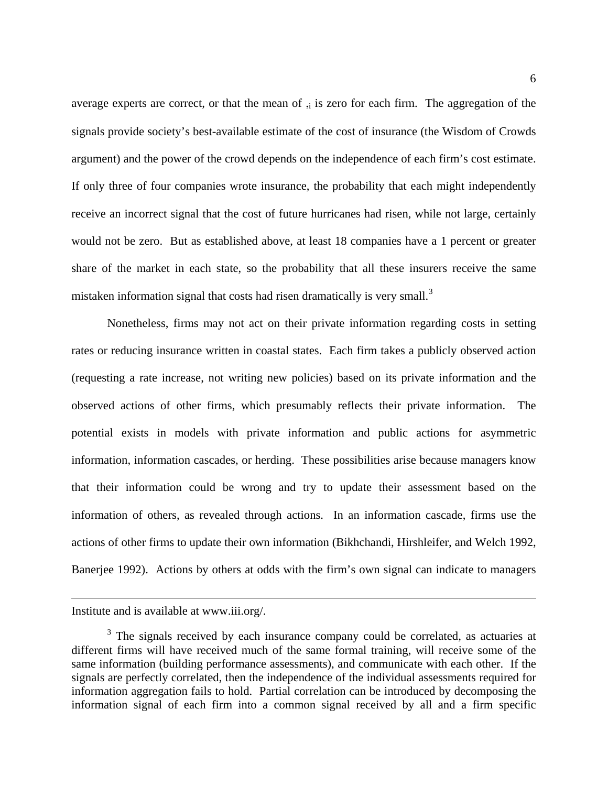average experts are correct, or that the mean of  $\lambda_i$  is zero for each firm. The aggregation of the signals provide society's best-available estimate of the cost of insurance (the Wisdom of Crowds argument) and the power of the crowd depends on the independence of each firm's cost estimate. If only three of four companies wrote insurance, the probability that each might independently receive an incorrect signal that the cost of future hurricanes had risen, while not large, certainly would not be zero. But as established above, at least 18 companies have a 1 percent or greater share of the market in each state, so the probability that all these insurers receive the same mistaken information signal that costs had risen dramatically is very small.<sup>[3](#page-8-0)</sup>

 Nonetheless, firms may not act on their private information regarding costs in setting rates or reducing insurance written in coastal states. Each firm takes a publicly observed action (requesting a rate increase, not writing new policies) based on its private information and the observed actions of other firms, which presumably reflects their private information. The potential exists in models with private information and public actions for asymmetric information, information cascades, or herding. These possibilities arise because managers know that their information could be wrong and try to update their assessment based on the information of others, as revealed through actions. In an information cascade, firms use the actions of other firms to update their own information (Bikhchandi, Hirshleifer, and Welch 1992, Banerjee 1992). Actions by others at odds with the firm's own signal can indicate to managers

Institute and is available at www.iii.org/.

<span id="page-8-0"></span><sup>&</sup>lt;sup>3</sup> The signals received by each insurance company could be correlated, as actuaries at different firms will have received much of the same formal training, will receive some of the same information (building performance assessments), and communicate with each other. If the signals are perfectly correlated, then the independence of the individual assessments required for information aggregation fails to hold. Partial correlation can be introduced by decomposing the information signal of each firm into a common signal received by all and a firm specific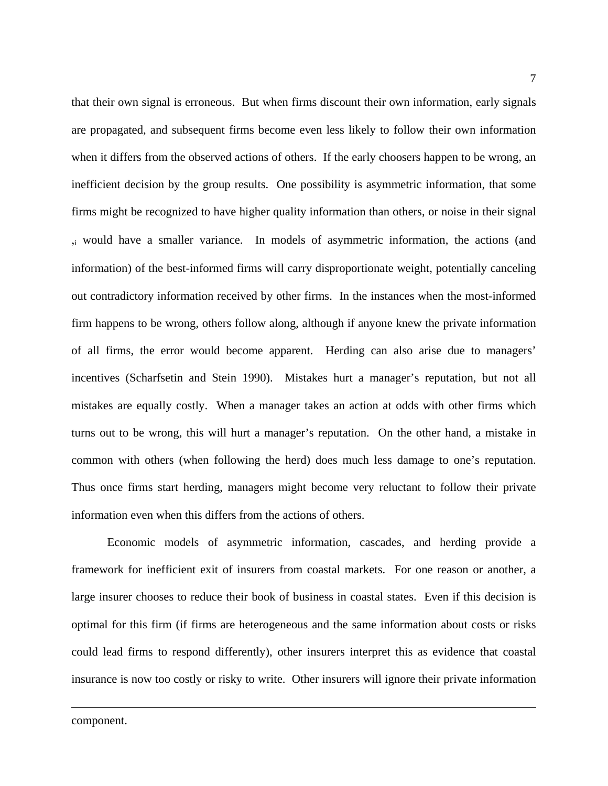that their own signal is erroneous. But when firms discount their own information, early signals are propagated, and subsequent firms become even less likely to follow their own information when it differs from the observed actions of others. If the early choosers happen to be wrong, an inefficient decision by the group results. One possibility is asymmetric information, that some firms might be recognized to have higher quality information than others, or noise in their signal ,i would have a smaller variance. In models of asymmetric information, the actions (and information) of the best-informed firms will carry disproportionate weight, potentially canceling out contradictory information received by other firms. In the instances when the most-informed firm happens to be wrong, others follow along, although if anyone knew the private information of all firms, the error would become apparent. Herding can also arise due to managers' incentives (Scharfsetin and Stein 1990). Mistakes hurt a manager's reputation, but not all mistakes are equally costly. When a manager takes an action at odds with other firms which turns out to be wrong, this will hurt a manager's reputation. On the other hand, a mistake in common with others (when following the herd) does much less damage to one's reputation. Thus once firms start herding, managers might become very reluctant to follow their private information even when this differs from the actions of others.

 Economic models of asymmetric information, cascades, and herding provide a framework for inefficient exit of insurers from coastal markets. For one reason or another, a large insurer chooses to reduce their book of business in coastal states. Even if this decision is optimal for this firm (if firms are heterogeneous and the same information about costs or risks could lead firms to respond differently), other insurers interpret this as evidence that coastal insurance is now too costly or risky to write. Other insurers will ignore their private information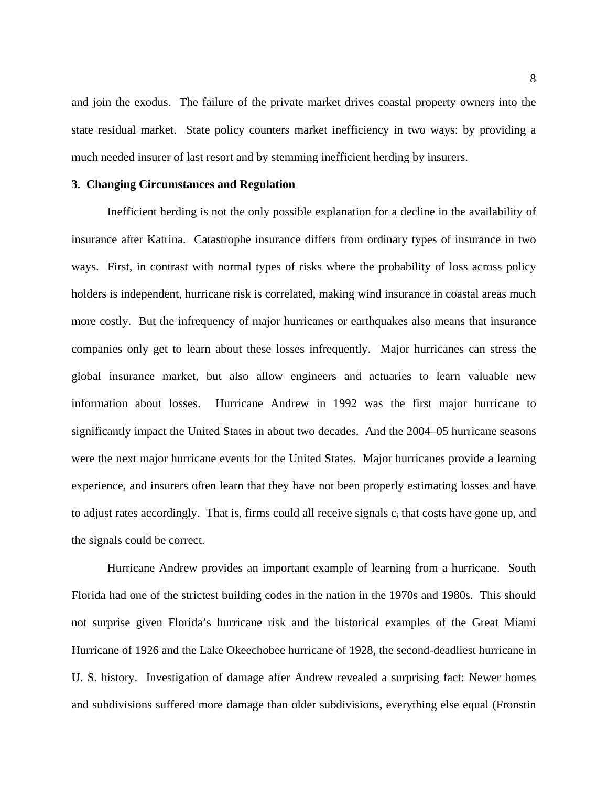and join the exodus. The failure of the private market drives coastal property owners into the state residual market. State policy counters market inefficiency in two ways: by providing a much needed insurer of last resort and by stemming inefficient herding by insurers.

#### **3. Changing Circumstances and Regulation**

 Inefficient herding is not the only possible explanation for a decline in the availability of insurance after Katrina. Catastrophe insurance differs from ordinary types of insurance in two ways. First, in contrast with normal types of risks where the probability of loss across policy holders is independent, hurricane risk is correlated, making wind insurance in coastal areas much more costly. But the infrequency of major hurricanes or earthquakes also means that insurance companies only get to learn about these losses infrequently. Major hurricanes can stress the global insurance market, but also allow engineers and actuaries to learn valuable new information about losses. Hurricane Andrew in 1992 was the first major hurricane to significantly impact the United States in about two decades. And the 2004–05 hurricane seasons were the next major hurricane events for the United States. Major hurricanes provide a learning experience, and insurers often learn that they have not been properly estimating losses and have to adjust rates accordingly. That is, firms could all receive signals  $c_i$  that costs have gone up, and the signals could be correct.

 Hurricane Andrew provides an important example of learning from a hurricane. South Florida had one of the strictest building codes in the nation in the 1970s and 1980s. This should not surprise given Florida's hurricane risk and the historical examples of the Great Miami Hurricane of 1926 and the Lake Okeechobee hurricane of 1928, the second-deadliest hurricane in U. S. history. Investigation of damage after Andrew revealed a surprising fact: Newer homes and subdivisions suffered more damage than older subdivisions, everything else equal (Fronstin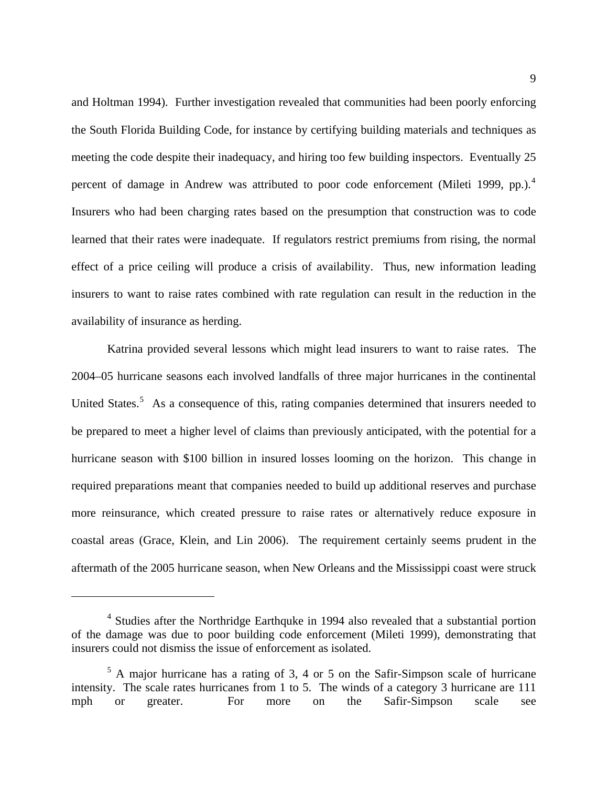and Holtman 1994). Further investigation revealed that communities had been poorly enforcing the South Florida Building Code, for instance by certifying building materials and techniques as meeting the code despite their inadequacy, and hiring too few building inspectors. Eventually 25 percent of damage in Andrew was attributed to poor code enforcement (Mileti 1999, pp.).<sup>[4](#page-11-0)</sup> Insurers who had been charging rates based on the presumption that construction was to code learned that their rates were inadequate. If regulators restrict premiums from rising, the normal effect of a price ceiling will produce a crisis of availability. Thus, new information leading insurers to want to raise rates combined with rate regulation can result in the reduction in the availability of insurance as herding.

 Katrina provided several lessons which might lead insurers to want to raise rates. The 2004–05 hurricane seasons each involved landfalls of three major hurricanes in the continental United States.<sup>[5](#page-11-1)</sup> As a consequence of this, rating companies determined that insurers needed to be prepared to meet a higher level of claims than previously anticipated, with the potential for a hurricane season with \$100 billion in insured losses looming on the horizon. This change in required preparations meant that companies needed to build up additional reserves and purchase more reinsurance, which created pressure to raise rates or alternatively reduce exposure in coastal areas (Grace, Klein, and Lin 2006). The requirement certainly seems prudent in the aftermath of the 2005 hurricane season, when New Orleans and the Mississippi coast were struck

<span id="page-11-0"></span><sup>&</sup>lt;sup>4</sup> Studies after the Northridge Earthquke in 1994 also revealed that a substantial portion of the damage was due to poor building code enforcement (Mileti 1999), demonstrating that insurers could not dismiss the issue of enforcement as isolated.

<span id="page-11-1"></span> $5$  A major hurricane has a rating of 3, 4 or 5 on the Safir-Simpson scale of hurricane intensity. The scale rates hurricanes from 1 to 5. The winds of a category 3 hurricane are 111 mph or greater. For more on the Safir-Simpson scale see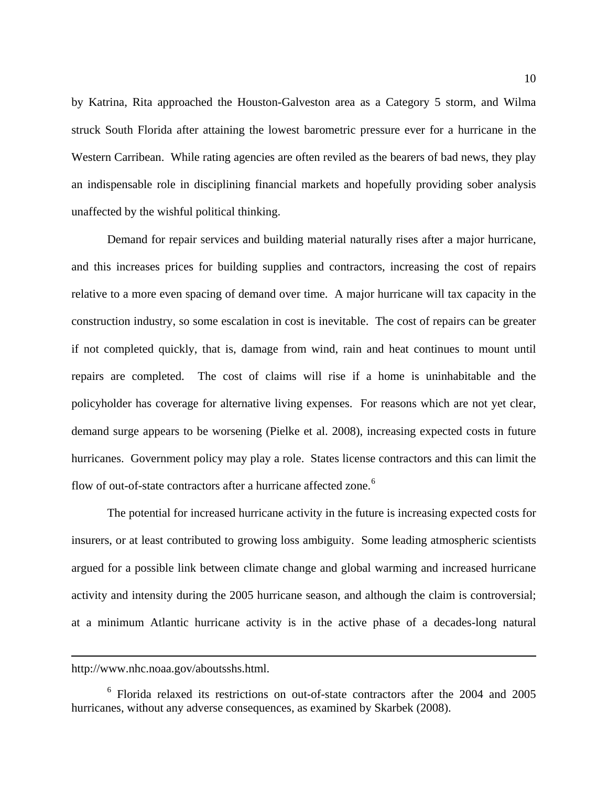by Katrina, Rita approached the Houston-Galveston area as a Category 5 storm, and Wilma struck South Florida after attaining the lowest barometric pressure ever for a hurricane in the Western Carribean. While rating agencies are often reviled as the bearers of bad news, they play an indispensable role in disciplining financial markets and hopefully providing sober analysis unaffected by the wishful political thinking.

 Demand for repair services and building material naturally rises after a major hurricane, and this increases prices for building supplies and contractors, increasing the cost of repairs relative to a more even spacing of demand over time. A major hurricane will tax capacity in the construction industry, so some escalation in cost is inevitable. The cost of repairs can be greater if not completed quickly, that is, damage from wind, rain and heat continues to mount until repairs are completed. The cost of claims will rise if a home is uninhabitable and the policyholder has coverage for alternative living expenses. For reasons which are not yet clear, demand surge appears to be worsening (Pielke et al. 2008), increasing expected costs in future hurricanes. Government policy may play a role. States license contractors and this can limit the flow of out-of-state contractors after a hurricane affected zone.<sup>[6](#page-12-0)</sup>

 The potential for increased hurricane activity in the future is increasing expected costs for insurers, or at least contributed to growing loss ambiguity. Some leading atmospheric scientists argued for a possible link between climate change and global warming and increased hurricane activity and intensity during the 2005 hurricane season, and although the claim is controversial; at a minimum Atlantic hurricane activity is in the active phase of a decades-long natural

http://www.nhc.noaa.gov/aboutsshs.html.

<span id="page-12-0"></span><sup>6</sup> Florida relaxed its restrictions on out-of-state contractors after the 2004 and 2005 hurricanes, without any adverse consequences, as examined by Skarbek (2008).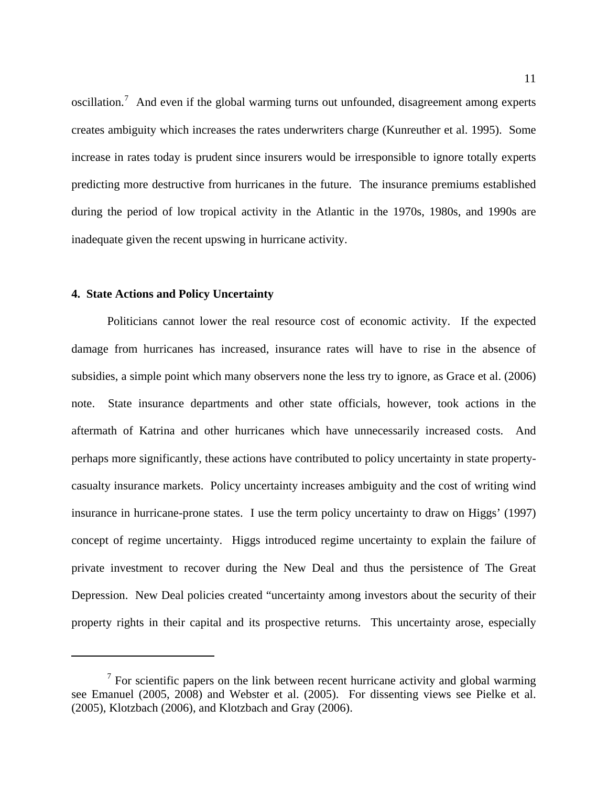oscillation.<sup>[7](#page-13-0)</sup> And even if the global warming turns out unfounded, disagreement among experts creates ambiguity which increases the rates underwriters charge (Kunreuther et al. 1995). Some increase in rates today is prudent since insurers would be irresponsible to ignore totally experts predicting more destructive from hurricanes in the future. The insurance premiums established during the period of low tropical activity in the Atlantic in the 1970s, 1980s, and 1990s are inadequate given the recent upswing in hurricane activity.

#### **4. State Actions and Policy Uncertainty**

 $\overline{a}$ 

 Politicians cannot lower the real resource cost of economic activity. If the expected damage from hurricanes has increased, insurance rates will have to rise in the absence of subsidies, a simple point which many observers none the less try to ignore, as Grace et al. (2006) note. State insurance departments and other state officials, however, took actions in the aftermath of Katrina and other hurricanes which have unnecessarily increased costs. And perhaps more significantly, these actions have contributed to policy uncertainty in state propertycasualty insurance markets. Policy uncertainty increases ambiguity and the cost of writing wind insurance in hurricane-prone states. I use the term policy uncertainty to draw on Higgs' (1997) concept of regime uncertainty. Higgs introduced regime uncertainty to explain the failure of private investment to recover during the New Deal and thus the persistence of The Great Depression. New Deal policies created "uncertainty among investors about the security of their property rights in their capital and its prospective returns. This uncertainty arose, especially

<span id="page-13-0"></span> $<sup>7</sup>$  For scientific papers on the link between recent hurricane activity and global warming</sup> see Emanuel (2005, 2008) and Webster et al. (2005). For dissenting views see Pielke et al. (2005), Klotzbach (2006), and Klotzbach and Gray (2006).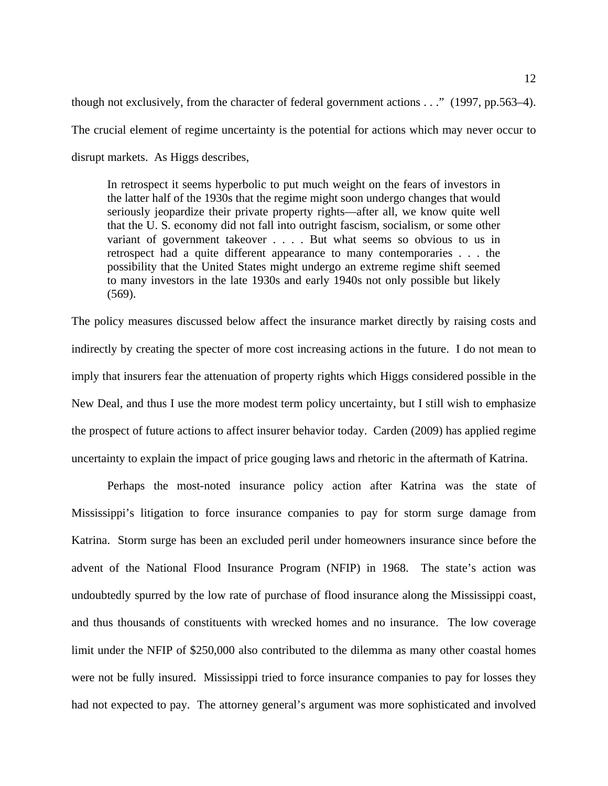though not exclusively, from the character of federal government actions . . ." (1997, pp.563–4). The crucial element of regime uncertainty is the potential for actions which may never occur to disrupt markets. As Higgs describes,

In retrospect it seems hyperbolic to put much weight on the fears of investors in the latter half of the 1930s that the regime might soon undergo changes that would seriously jeopardize their private property rights—after all, we know quite well that the U. S. economy did not fall into outright fascism, socialism, or some other variant of government takeover . . . . But what seems so obvious to us in retrospect had a quite different appearance to many contemporaries . . . the possibility that the United States might undergo an extreme regime shift seemed to many investors in the late 1930s and early 1940s not only possible but likely (569).

The policy measures discussed below affect the insurance market directly by raising costs and indirectly by creating the specter of more cost increasing actions in the future. I do not mean to imply that insurers fear the attenuation of property rights which Higgs considered possible in the New Deal, and thus I use the more modest term policy uncertainty, but I still wish to emphasize the prospect of future actions to affect insurer behavior today. Carden (2009) has applied regime uncertainty to explain the impact of price gouging laws and rhetoric in the aftermath of Katrina.

 Perhaps the most-noted insurance policy action after Katrina was the state of Mississippi's litigation to force insurance companies to pay for storm surge damage from Katrina. Storm surge has been an excluded peril under homeowners insurance since before the advent of the National Flood Insurance Program (NFIP) in 1968. The state's action was undoubtedly spurred by the low rate of purchase of flood insurance along the Mississippi coast, and thus thousands of constituents with wrecked homes and no insurance. The low coverage limit under the NFIP of \$250,000 also contributed to the dilemma as many other coastal homes were not be fully insured. Mississippi tried to force insurance companies to pay for losses they had not expected to pay. The attorney general's argument was more sophisticated and involved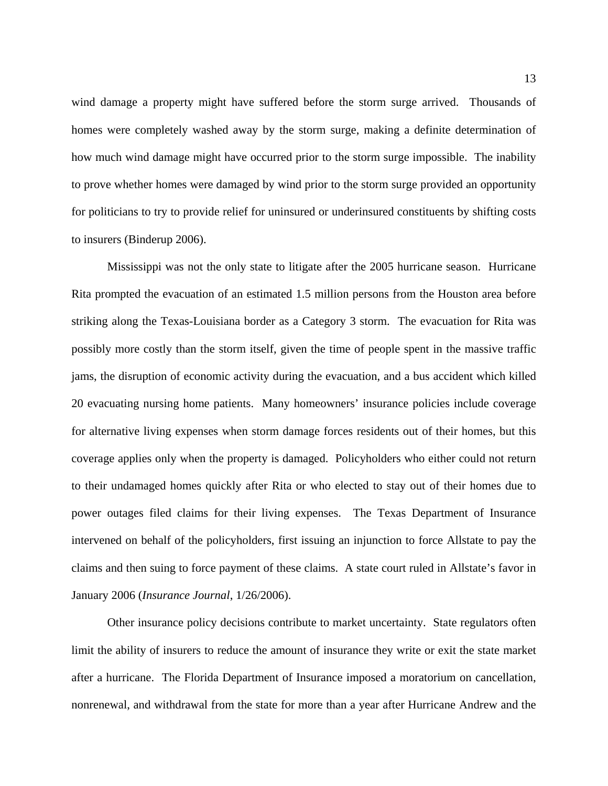wind damage a property might have suffered before the storm surge arrived. Thousands of homes were completely washed away by the storm surge, making a definite determination of how much wind damage might have occurred prior to the storm surge impossible. The inability to prove whether homes were damaged by wind prior to the storm surge provided an opportunity for politicians to try to provide relief for uninsured or underinsured constituents by shifting costs to insurers (Binderup 2006).

 Mississippi was not the only state to litigate after the 2005 hurricane season. Hurricane Rita prompted the evacuation of an estimated 1.5 million persons from the Houston area before striking along the Texas-Louisiana border as a Category 3 storm. The evacuation for Rita was possibly more costly than the storm itself, given the time of people spent in the massive traffic jams, the disruption of economic activity during the evacuation, and a bus accident which killed 20 evacuating nursing home patients. Many homeowners' insurance policies include coverage for alternative living expenses when storm damage forces residents out of their homes, but this coverage applies only when the property is damaged. Policyholders who either could not return to their undamaged homes quickly after Rita or who elected to stay out of their homes due to power outages filed claims for their living expenses. The Texas Department of Insurance intervened on behalf of the policyholders, first issuing an injunction to force Allstate to pay the claims and then suing to force payment of these claims. A state court ruled in Allstate's favor in January 2006 (*Insurance Journal*, 1/26/2006).

 Other insurance policy decisions contribute to market uncertainty. State regulators often limit the ability of insurers to reduce the amount of insurance they write or exit the state market after a hurricane. The Florida Department of Insurance imposed a moratorium on cancellation, nonrenewal, and withdrawal from the state for more than a year after Hurricane Andrew and the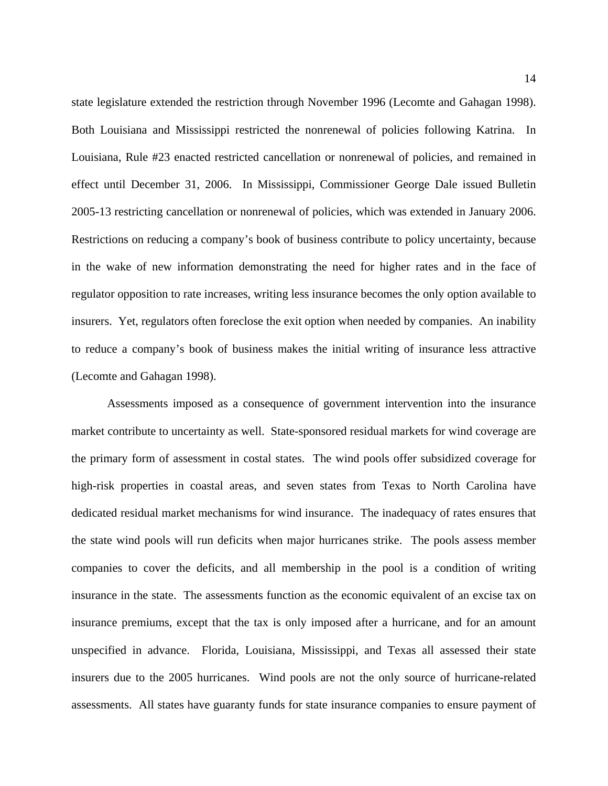state legislature extended the restriction through November 1996 (Lecomte and Gahagan 1998). Both Louisiana and Mississippi restricted the nonrenewal of policies following Katrina. In Louisiana, Rule #23 enacted restricted cancellation or nonrenewal of policies, and remained in effect until December 31, 2006. In Mississippi, Commissioner George Dale issued Bulletin 2005-13 restricting cancellation or nonrenewal of policies, which was extended in January 2006. Restrictions on reducing a company's book of business contribute to policy uncertainty, because in the wake of new information demonstrating the need for higher rates and in the face of regulator opposition to rate increases, writing less insurance becomes the only option available to insurers. Yet, regulators often foreclose the exit option when needed by companies. An inability to reduce a company's book of business makes the initial writing of insurance less attractive (Lecomte and Gahagan 1998).

 Assessments imposed as a consequence of government intervention into the insurance market contribute to uncertainty as well. State-sponsored residual markets for wind coverage are the primary form of assessment in costal states. The wind pools offer subsidized coverage for high-risk properties in coastal areas, and seven states from Texas to North Carolina have dedicated residual market mechanisms for wind insurance. The inadequacy of rates ensures that the state wind pools will run deficits when major hurricanes strike. The pools assess member companies to cover the deficits, and all membership in the pool is a condition of writing insurance in the state. The assessments function as the economic equivalent of an excise tax on insurance premiums, except that the tax is only imposed after a hurricane, and for an amount unspecified in advance. Florida, Louisiana, Mississippi, and Texas all assessed their state insurers due to the 2005 hurricanes. Wind pools are not the only source of hurricane-related assessments. All states have guaranty funds for state insurance companies to ensure payment of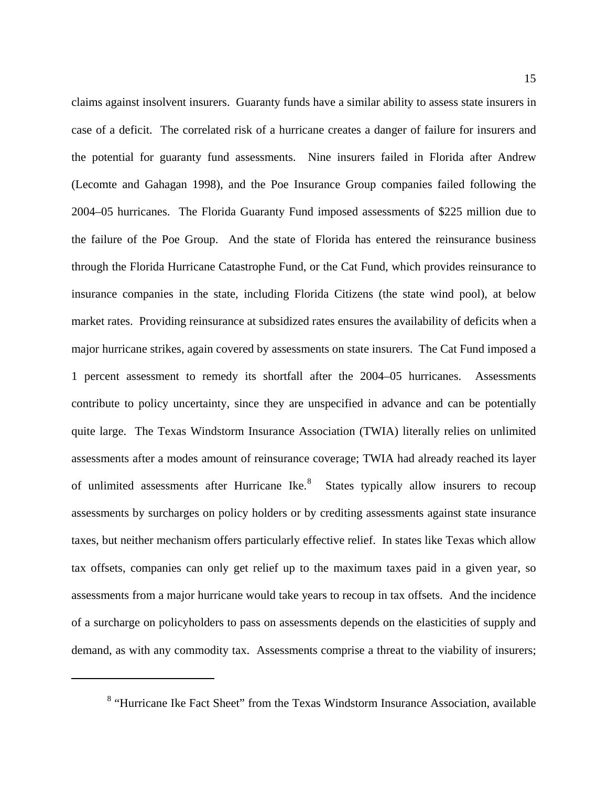claims against insolvent insurers. Guaranty funds have a similar ability to assess state insurers in case of a deficit. The correlated risk of a hurricane creates a danger of failure for insurers and the potential for guaranty fund assessments. Nine insurers failed in Florida after Andrew (Lecomte and Gahagan 1998), and the Poe Insurance Group companies failed following the 2004–05 hurricanes. The Florida Guaranty Fund imposed assessments of \$225 million due to the failure of the Poe Group. And the state of Florida has entered the reinsurance business through the Florida Hurricane Catastrophe Fund, or the Cat Fund, which provides reinsurance to insurance companies in the state, including Florida Citizens (the state wind pool), at below market rates. Providing reinsurance at subsidized rates ensures the availability of deficits when a major hurricane strikes, again covered by assessments on state insurers. The Cat Fund imposed a 1 percent assessment to remedy its shortfall after the 2004–05 hurricanes. Assessments contribute to policy uncertainty, since they are unspecified in advance and can be potentially quite large. The Texas Windstorm Insurance Association (TWIA) literally relies on unlimited assessments after a modes amount of reinsurance coverage; TWIA had already reached its layer of unlimited assessments after Hurricane Ike. $8$  States typically allow insurers to recoup assessments by surcharges on policy holders or by crediting assessments against state insurance taxes, but neither mechanism offers particularly effective relief. In states like Texas which allow tax offsets, companies can only get relief up to the maximum taxes paid in a given year, so assessments from a major hurricane would take years to recoup in tax offsets. And the incidence of a surcharge on policyholders to pass on assessments depends on the elasticities of supply and demand, as with any commodity tax. Assessments comprise a threat to the viability of insurers;

<span id="page-17-0"></span><sup>&</sup>lt;sup>8</sup> "Hurricane Ike Fact Sheet" from the Texas Windstorm Insurance Association, available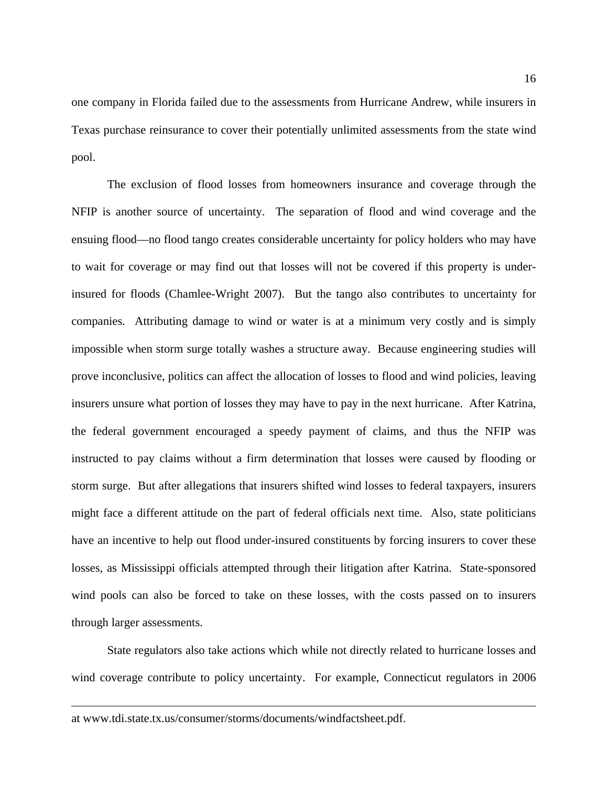one company in Florida failed due to the assessments from Hurricane Andrew, while insurers in Texas purchase reinsurance to cover their potentially unlimited assessments from the state wind pool.

 The exclusion of flood losses from homeowners insurance and coverage through the NFIP is another source of uncertainty. The separation of flood and wind coverage and the ensuing flood—no flood tango creates considerable uncertainty for policy holders who may have to wait for coverage or may find out that losses will not be covered if this property is underinsured for floods (Chamlee-Wright 2007). But the tango also contributes to uncertainty for companies. Attributing damage to wind or water is at a minimum very costly and is simply impossible when storm surge totally washes a structure away. Because engineering studies will prove inconclusive, politics can affect the allocation of losses to flood and wind policies, leaving insurers unsure what portion of losses they may have to pay in the next hurricane. After Katrina, the federal government encouraged a speedy payment of claims, and thus the NFIP was instructed to pay claims without a firm determination that losses were caused by flooding or storm surge. But after allegations that insurers shifted wind losses to federal taxpayers, insurers might face a different attitude on the part of federal officials next time. Also, state politicians have an incentive to help out flood under-insured constituents by forcing insurers to cover these losses, as Mississippi officials attempted through their litigation after Katrina. State-sponsored wind pools can also be forced to take on these losses, with the costs passed on to insurers through larger assessments.

 State regulators also take actions which while not directly related to hurricane losses and wind coverage contribute to policy uncertainty. For example, Connecticut regulators in 2006

at www.tdi.state.tx.us/consumer/storms/documents/windfactsheet.pdf.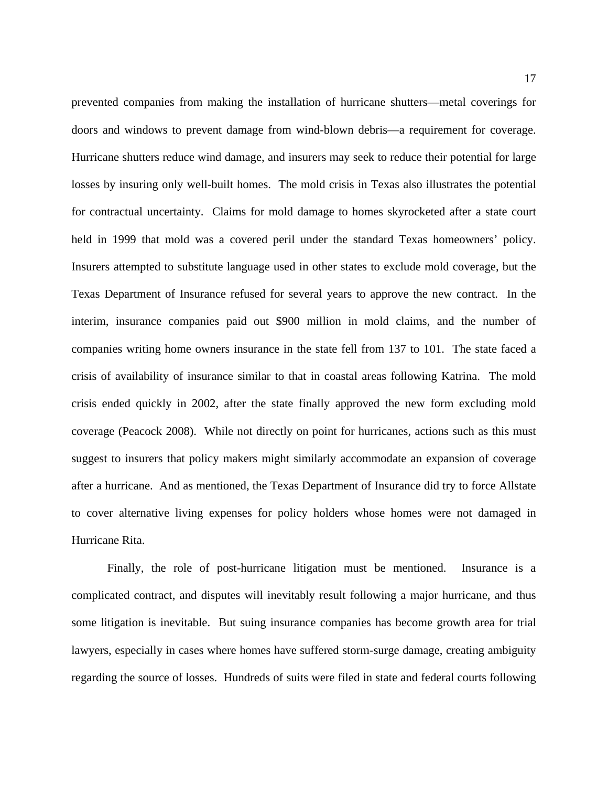prevented companies from making the installation of hurricane shutters—metal coverings for doors and windows to prevent damage from wind-blown debris—a requirement for coverage. Hurricane shutters reduce wind damage, and insurers may seek to reduce their potential for large losses by insuring only well-built homes. The mold crisis in Texas also illustrates the potential for contractual uncertainty. Claims for mold damage to homes skyrocketed after a state court held in 1999 that mold was a covered peril under the standard Texas homeowners' policy. Insurers attempted to substitute language used in other states to exclude mold coverage, but the Texas Department of Insurance refused for several years to approve the new contract. In the interim, insurance companies paid out \$900 million in mold claims, and the number of companies writing home owners insurance in the state fell from 137 to 101. The state faced a crisis of availability of insurance similar to that in coastal areas following Katrina. The mold crisis ended quickly in 2002, after the state finally approved the new form excluding mold coverage (Peacock 2008). While not directly on point for hurricanes, actions such as this must suggest to insurers that policy makers might similarly accommodate an expansion of coverage after a hurricane. And as mentioned, the Texas Department of Insurance did try to force Allstate to cover alternative living expenses for policy holders whose homes were not damaged in Hurricane Rita.

 Finally, the role of post-hurricane litigation must be mentioned. Insurance is a complicated contract, and disputes will inevitably result following a major hurricane, and thus some litigation is inevitable. But suing insurance companies has become growth area for trial lawyers, especially in cases where homes have suffered storm-surge damage, creating ambiguity regarding the source of losses. Hundreds of suits were filed in state and federal courts following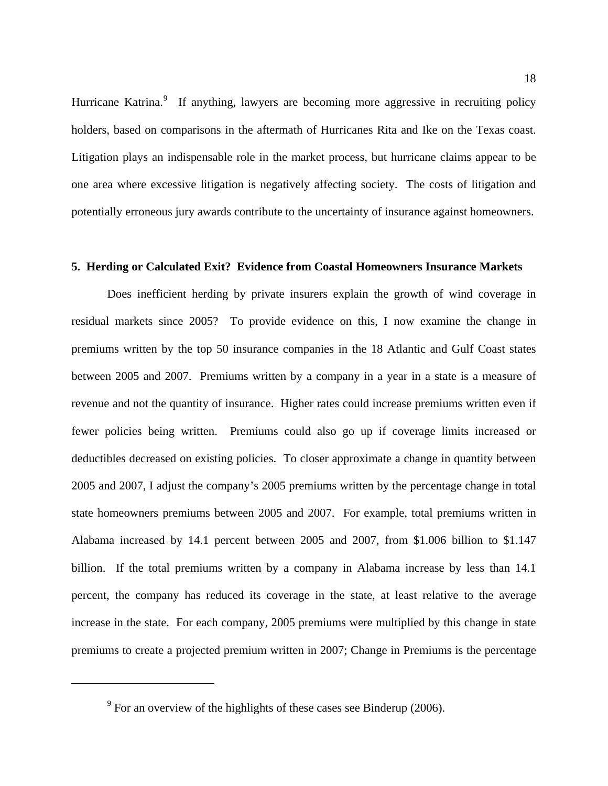Hurricane Katrina.<sup>[9](#page-20-0)</sup> If anything, lawyers are becoming more aggressive in recruiting policy holders, based on comparisons in the aftermath of Hurricanes Rita and Ike on the Texas coast. Litigation plays an indispensable role in the market process, but hurricane claims appear to be one area where excessive litigation is negatively affecting society. The costs of litigation and potentially erroneous jury awards contribute to the uncertainty of insurance against homeowners.

#### **5. Herding or Calculated Exit? Evidence from Coastal Homeowners Insurance Markets**

 Does inefficient herding by private insurers explain the growth of wind coverage in residual markets since 2005? To provide evidence on this, I now examine the change in premiums written by the top 50 insurance companies in the 18 Atlantic and Gulf Coast states between 2005 and 2007. Premiums written by a company in a year in a state is a measure of revenue and not the quantity of insurance. Higher rates could increase premiums written even if fewer policies being written. Premiums could also go up if coverage limits increased or deductibles decreased on existing policies. To closer approximate a change in quantity between 2005 and 2007, I adjust the company's 2005 premiums written by the percentage change in total state homeowners premiums between 2005 and 2007. For example, total premiums written in Alabama increased by 14.1 percent between 2005 and 2007, from \$1.006 billion to \$1.147 billion. If the total premiums written by a company in Alabama increase by less than 14.1 percent, the company has reduced its coverage in the state, at least relative to the average increase in the state. For each company, 2005 premiums were multiplied by this change in state premiums to create a projected premium written in 2007; Change in Premiums is the percentage

<span id="page-20-0"></span> $9^9$  For an overview of the highlights of these cases see Binderup (2006).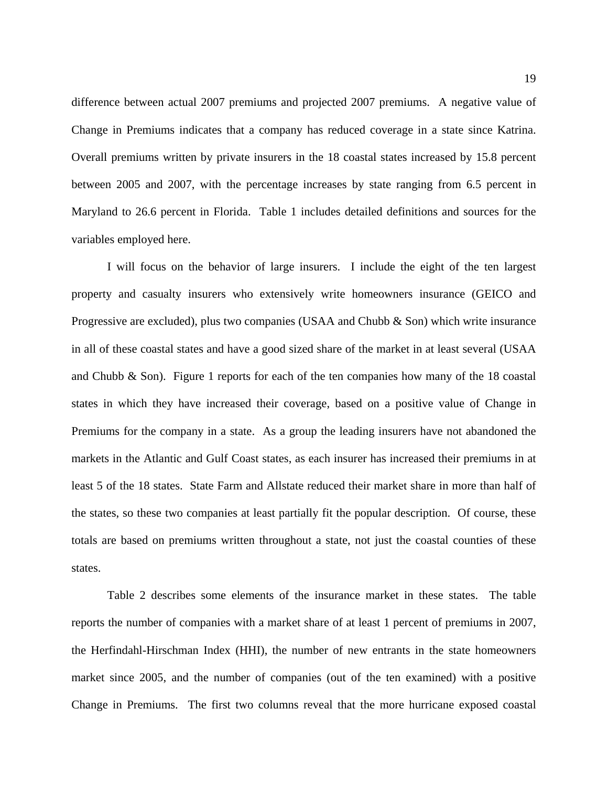difference between actual 2007 premiums and projected 2007 premiums. A negative value of Change in Premiums indicates that a company has reduced coverage in a state since Katrina. Overall premiums written by private insurers in the 18 coastal states increased by 15.8 percent between 2005 and 2007, with the percentage increases by state ranging from 6.5 percent in Maryland to 26.6 percent in Florida. Table 1 includes detailed definitions and sources for the variables employed here.

 I will focus on the behavior of large insurers. I include the eight of the ten largest property and casualty insurers who extensively write homeowners insurance (GEICO and Progressive are excluded), plus two companies (USAA and Chubb & Son) which write insurance in all of these coastal states and have a good sized share of the market in at least several (USAA and Chubb  $\&$  Son). Figure 1 reports for each of the ten companies how many of the 18 coastal states in which they have increased their coverage, based on a positive value of Change in Premiums for the company in a state. As a group the leading insurers have not abandoned the markets in the Atlantic and Gulf Coast states, as each insurer has increased their premiums in at least 5 of the 18 states. State Farm and Allstate reduced their market share in more than half of the states, so these two companies at least partially fit the popular description. Of course, these totals are based on premiums written throughout a state, not just the coastal counties of these states.

 Table 2 describes some elements of the insurance market in these states. The table reports the number of companies with a market share of at least 1 percent of premiums in 2007, the Herfindahl-Hirschman Index (HHI), the number of new entrants in the state homeowners market since 2005, and the number of companies (out of the ten examined) with a positive Change in Premiums. The first two columns reveal that the more hurricane exposed coastal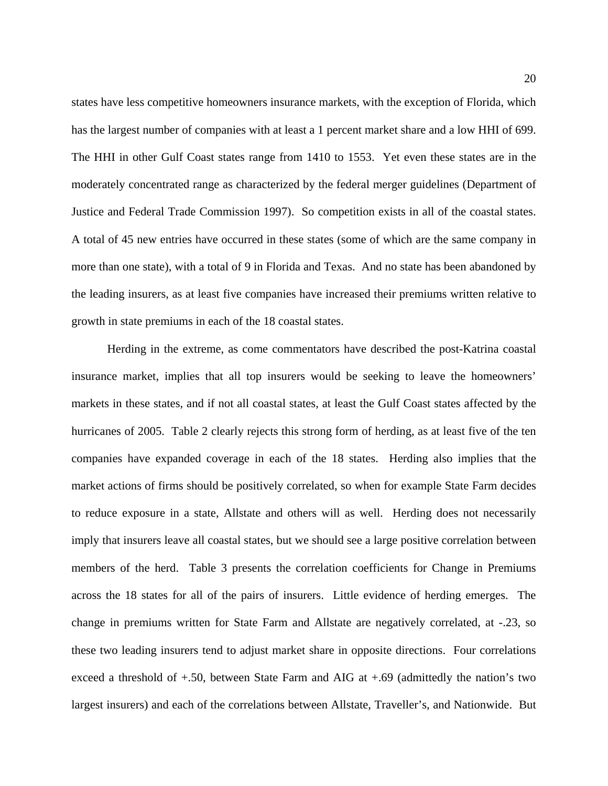states have less competitive homeowners insurance markets, with the exception of Florida, which has the largest number of companies with at least a 1 percent market share and a low HHI of 699. The HHI in other Gulf Coast states range from 1410 to 1553. Yet even these states are in the moderately concentrated range as characterized by the federal merger guidelines (Department of Justice and Federal Trade Commission 1997). So competition exists in all of the coastal states. A total of 45 new entries have occurred in these states (some of which are the same company in more than one state), with a total of 9 in Florida and Texas. And no state has been abandoned by the leading insurers, as at least five companies have increased their premiums written relative to growth in state premiums in each of the 18 coastal states.

 Herding in the extreme, as come commentators have described the post-Katrina coastal insurance market, implies that all top insurers would be seeking to leave the homeowners' markets in these states, and if not all coastal states, at least the Gulf Coast states affected by the hurricanes of 2005. Table 2 clearly rejects this strong form of herding, as at least five of the ten companies have expanded coverage in each of the 18 states. Herding also implies that the market actions of firms should be positively correlated, so when for example State Farm decides to reduce exposure in a state, Allstate and others will as well. Herding does not necessarily imply that insurers leave all coastal states, but we should see a large positive correlation between members of the herd. Table 3 presents the correlation coefficients for Change in Premiums across the 18 states for all of the pairs of insurers. Little evidence of herding emerges. The change in premiums written for State Farm and Allstate are negatively correlated, at -.23, so these two leading insurers tend to adjust market share in opposite directions. Four correlations exceed a threshold of +.50, between State Farm and AIG at +.69 (admittedly the nation's two largest insurers) and each of the correlations between Allstate, Traveller's, and Nationwide. But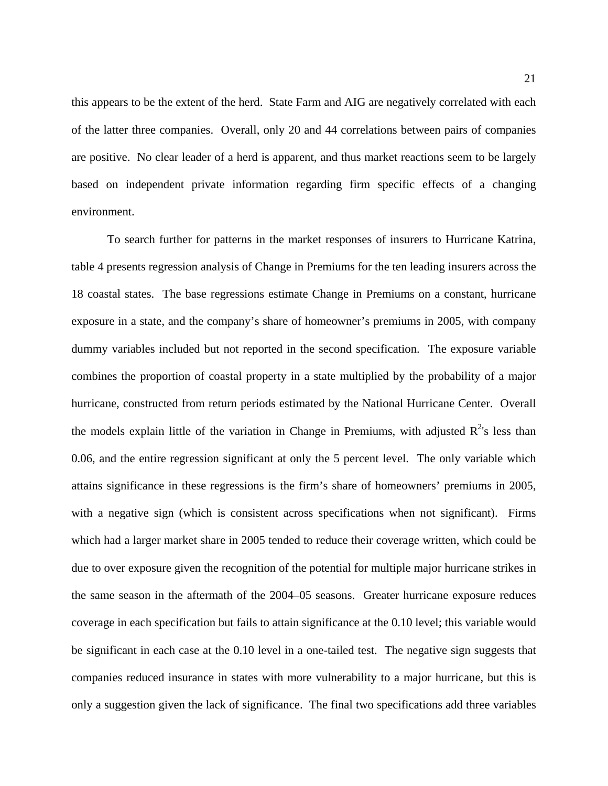this appears to be the extent of the herd. State Farm and AIG are negatively correlated with each of the latter three companies. Overall, only 20 and 44 correlations between pairs of companies are positive. No clear leader of a herd is apparent, and thus market reactions seem to be largely based on independent private information regarding firm specific effects of a changing environment.

 To search further for patterns in the market responses of insurers to Hurricane Katrina, table 4 presents regression analysis of Change in Premiums for the ten leading insurers across the 18 coastal states. The base regressions estimate Change in Premiums on a constant, hurricane exposure in a state, and the company's share of homeowner's premiums in 2005, with company dummy variables included but not reported in the second specification. The exposure variable combines the proportion of coastal property in a state multiplied by the probability of a major hurricane, constructed from return periods estimated by the National Hurricane Center. Overall the models explain little of the variation in Change in Premiums, with adjusted  $R^2$ 's less than 0.06, and the entire regression significant at only the 5 percent level. The only variable which attains significance in these regressions is the firm's share of homeowners' premiums in 2005, with a negative sign (which is consistent across specifications when not significant). Firms which had a larger market share in 2005 tended to reduce their coverage written, which could be due to over exposure given the recognition of the potential for multiple major hurricane strikes in the same season in the aftermath of the 2004–05 seasons. Greater hurricane exposure reduces coverage in each specification but fails to attain significance at the 0.10 level; this variable would be significant in each case at the 0.10 level in a one-tailed test. The negative sign suggests that companies reduced insurance in states with more vulnerability to a major hurricane, but this is only a suggestion given the lack of significance. The final two specifications add three variables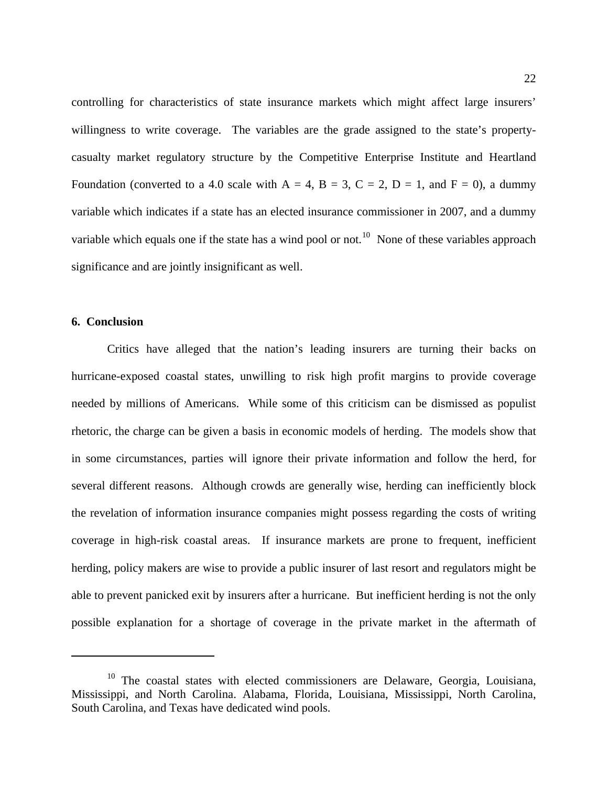controlling for characteristics of state insurance markets which might affect large insurers' willingness to write coverage. The variables are the grade assigned to the state's propertycasualty market regulatory structure by the Competitive Enterprise Institute and Heartland Foundation (converted to a 4.0 scale with  $A = 4$ ,  $B = 3$ ,  $C = 2$ ,  $D = 1$ , and  $F = 0$ ), a dummy variable which indicates if a state has an elected insurance commissioner in 2007, and a dummy variable which equals one if the state has a wind pool or not.<sup>[10](#page-24-0)</sup> None of these variables approach significance and are jointly insignificant as well.

#### **6. Conclusion**

 $\overline{a}$ 

 Critics have alleged that the nation's leading insurers are turning their backs on hurricane-exposed coastal states, unwilling to risk high profit margins to provide coverage needed by millions of Americans. While some of this criticism can be dismissed as populist rhetoric, the charge can be given a basis in economic models of herding. The models show that in some circumstances, parties will ignore their private information and follow the herd, for several different reasons. Although crowds are generally wise, herding can inefficiently block the revelation of information insurance companies might possess regarding the costs of writing coverage in high-risk coastal areas. If insurance markets are prone to frequent, inefficient herding, policy makers are wise to provide a public insurer of last resort and regulators might be able to prevent panicked exit by insurers after a hurricane. But inefficient herding is not the only possible explanation for a shortage of coverage in the private market in the aftermath of

<span id="page-24-0"></span> $10$  The coastal states with elected commissioners are Delaware, Georgia, Louisiana, Mississippi, and North Carolina. Alabama, Florida, Louisiana, Mississippi, North Carolina, South Carolina, and Texas have dedicated wind pools.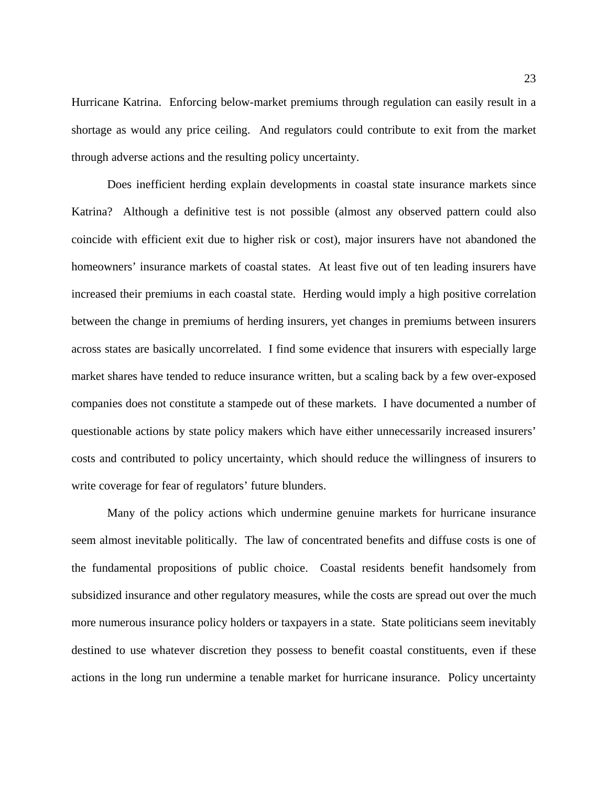Hurricane Katrina. Enforcing below-market premiums through regulation can easily result in a shortage as would any price ceiling. And regulators could contribute to exit from the market through adverse actions and the resulting policy uncertainty.

 Does inefficient herding explain developments in coastal state insurance markets since Katrina? Although a definitive test is not possible (almost any observed pattern could also coincide with efficient exit due to higher risk or cost), major insurers have not abandoned the homeowners' insurance markets of coastal states. At least five out of ten leading insurers have increased their premiums in each coastal state. Herding would imply a high positive correlation between the change in premiums of herding insurers, yet changes in premiums between insurers across states are basically uncorrelated. I find some evidence that insurers with especially large market shares have tended to reduce insurance written, but a scaling back by a few over-exposed companies does not constitute a stampede out of these markets. I have documented a number of questionable actions by state policy makers which have either unnecessarily increased insurers' costs and contributed to policy uncertainty, which should reduce the willingness of insurers to write coverage for fear of regulators' future blunders.

 Many of the policy actions which undermine genuine markets for hurricane insurance seem almost inevitable politically. The law of concentrated benefits and diffuse costs is one of the fundamental propositions of public choice. Coastal residents benefit handsomely from subsidized insurance and other regulatory measures, while the costs are spread out over the much more numerous insurance policy holders or taxpayers in a state. State politicians seem inevitably destined to use whatever discretion they possess to benefit coastal constituents, even if these actions in the long run undermine a tenable market for hurricane insurance. Policy uncertainty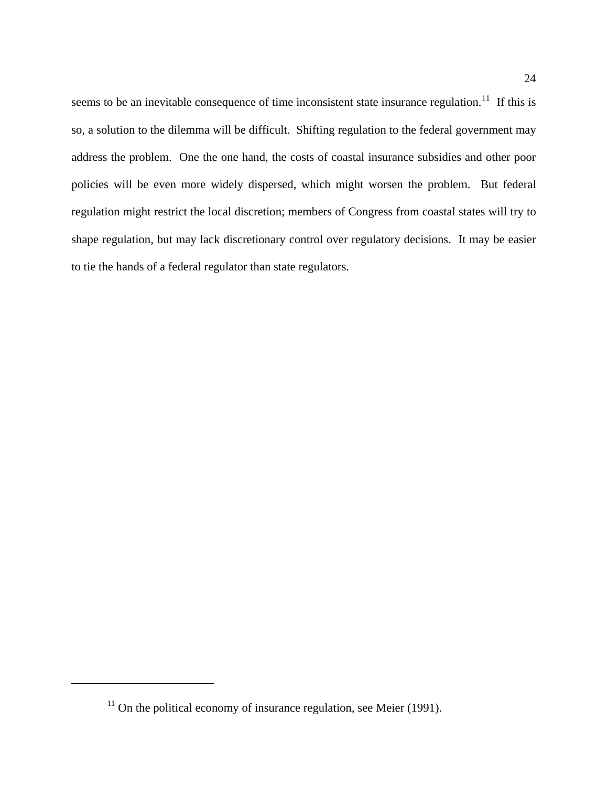seems to be an inevitable consequence of time inconsistent state insurance regulation.<sup>11</sup> If this is so, a solution to the dilemma will be difficult. Shifting regulation to the federal government may address the problem. One the one hand, the costs of coastal insurance subsidies and other poor policies will be even more widely dispersed, which might worsen the problem. But federal regulation might restrict the local discretion; members of Congress from coastal states will try to shape regulation, but may lack discretionary control over regulatory decisions. It may be easier to tie the hands of a federal regulator than state regulators.

<span id="page-26-0"></span><u>.</u>

 $11$  On the political economy of insurance regulation, see Meier (1991).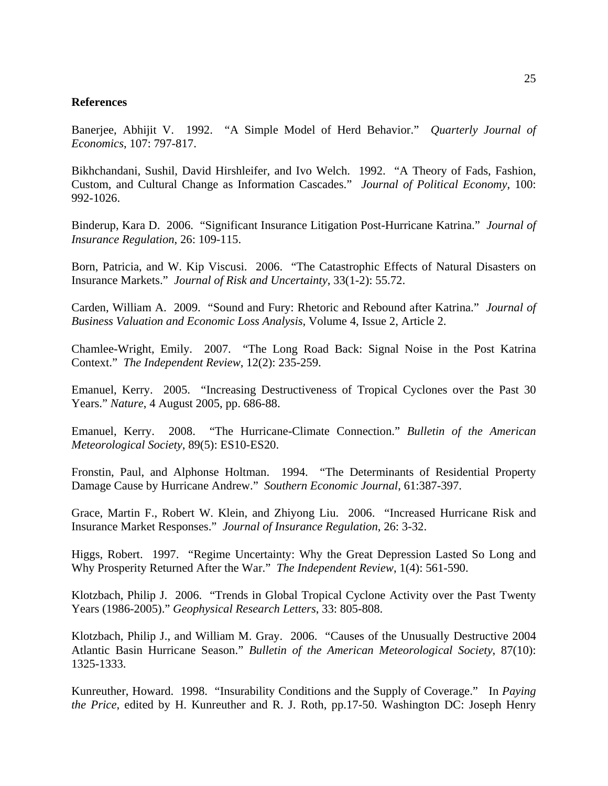#### **References**

Banerjee, Abhijit V. 1992. "A Simple Model of Herd Behavior." *Quarterly Journal of Economics*, 107: 797-817.

Bikhchandani, Sushil, David Hirshleifer, and Ivo Welch. 1992. "A Theory of Fads, Fashion, Custom, and Cultural Change as Information Cascades." *Journal of Political Economy*, 100: 992-1026.

Binderup, Kara D. 2006. "Significant Insurance Litigation Post-Hurricane Katrina." *Journal of Insurance Regulation*, 26: 109-115.

Born, Patricia, and W. Kip Viscusi. 2006. "The Catastrophic Effects of Natural Disasters on Insurance Markets." *Journal of Risk and Uncertainty*, 33(1-2): 55.72.

Carden, William A. 2009. "Sound and Fury: Rhetoric and Rebound after Katrina." *Journal of Business Valuation and Economic Loss Analysis*, Volume 4, Issue 2, Article 2.

Chamlee-Wright, Emily. 2007. "The Long Road Back: Signal Noise in the Post Katrina Context." *The Independent Review*, 12(2): 235-259.

Emanuel, Kerry. 2005. "Increasing Destructiveness of Tropical Cyclones over the Past 30 Years." *Nature*, 4 August 2005, pp. 686-88.

Emanuel, Kerry. 2008. "The Hurricane-Climate Connection." *Bulletin of the American Meteorological Society*, 89(5): ES10-ES20.

Fronstin, Paul, and Alphonse Holtman. 1994. "The Determinants of Residential Property Damage Cause by Hurricane Andrew." *Southern Economic Journal*, 61:387-397.

Grace, Martin F., Robert W. Klein, and Zhiyong Liu. 2006. "Increased Hurricane Risk and Insurance Market Responses." *Journal of Insurance Regulation*, 26: 3-32.

Higgs, Robert. 1997. "Regime Uncertainty: Why the Great Depression Lasted So Long and Why Prosperity Returned After the War." *The Independent Review*, 1(4): 561-590.

Klotzbach, Philip J. 2006. "Trends in Global Tropical Cyclone Activity over the Past Twenty Years (1986-2005)." *Geophysical Research Letters*, 33: 805-808.

Klotzbach, Philip J., and William M. Gray. 2006. "Causes of the Unusually Destructive 2004 Atlantic Basin Hurricane Season." *Bulletin of the American Meteorological Society*, 87(10): 1325-1333.

Kunreuther, Howard. 1998. "Insurability Conditions and the Supply of Coverage." In *Paying the Price*, edited by H. Kunreuther and R. J. Roth, pp.17-50. Washington DC: Joseph Henry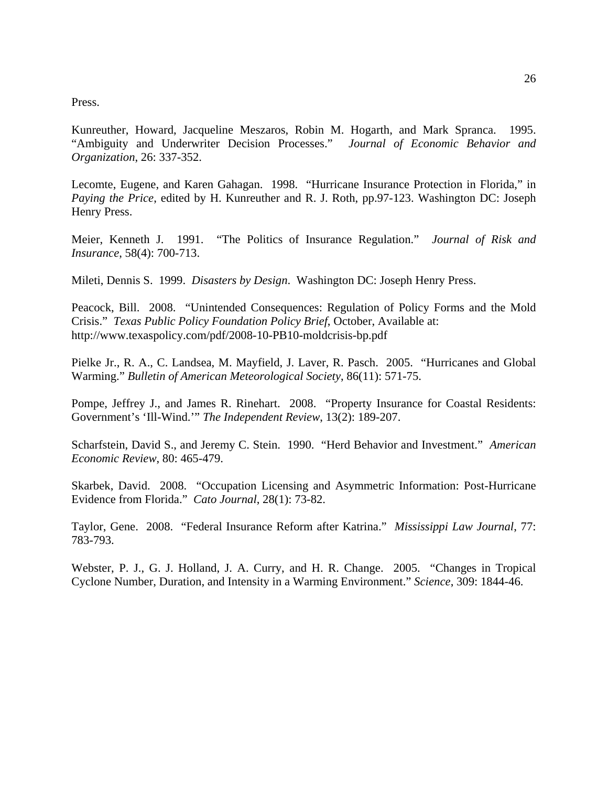Press.

Kunreuther, Howard, Jacqueline Meszaros, Robin M. Hogarth, and Mark Spranca. 1995. "Ambiguity and Underwriter Decision Processes." *Journal of Economic Behavior and Organization*, 26: 337-352.

Lecomte, Eugene, and Karen Gahagan. 1998. "Hurricane Insurance Protection in Florida," in *Paying the Price*, edited by H. Kunreuther and R. J. Roth, pp.97-123. Washington DC: Joseph Henry Press.

Meier, Kenneth J. 1991. "The Politics of Insurance Regulation." *Journal of Risk and Insurance*, 58(4): 700-713.

Mileti, Dennis S. 1999. *Disasters by Design*. Washington DC: Joseph Henry Press.

Peacock, Bill. 2008. "Unintended Consequences: Regulation of Policy Forms and the Mold Crisis." *Texas Public Policy Foundation Policy Brief*, October, Available at: http://www.texaspolicy.com/pdf/2008-10-PB10-moldcrisis-bp.pdf

Pielke Jr., R. A., C. Landsea, M. Mayfield, J. Laver, R. Pasch. 2005. "Hurricanes and Global Warming." *Bulletin of American Meteorological Society*, 86(11): 571-75.

Pompe, Jeffrey J., and James R. Rinehart. 2008. "Property Insurance for Coastal Residents: Government's 'Ill-Wind.'" *The Independent Review*, 13(2): 189-207.

Scharfstein, David S., and Jeremy C. Stein. 1990. "Herd Behavior and Investment." *American Economic Review*, 80: 465-479.

Skarbek, David. 2008. "Occupation Licensing and Asymmetric Information: Post-Hurricane Evidence from Florida." *Cato Journal*, 28(1): 73-82.

Taylor, Gene. 2008. "Federal Insurance Reform after Katrina." *Mississippi Law Journal*, 77: 783-793.

Webster, P. J., G. J. Holland, J. A. Curry, and H. R. Change. 2005. "Changes in Tropical Cyclone Number, Duration, and Intensity in a Warming Environment." *Science*, 309: 1844-46.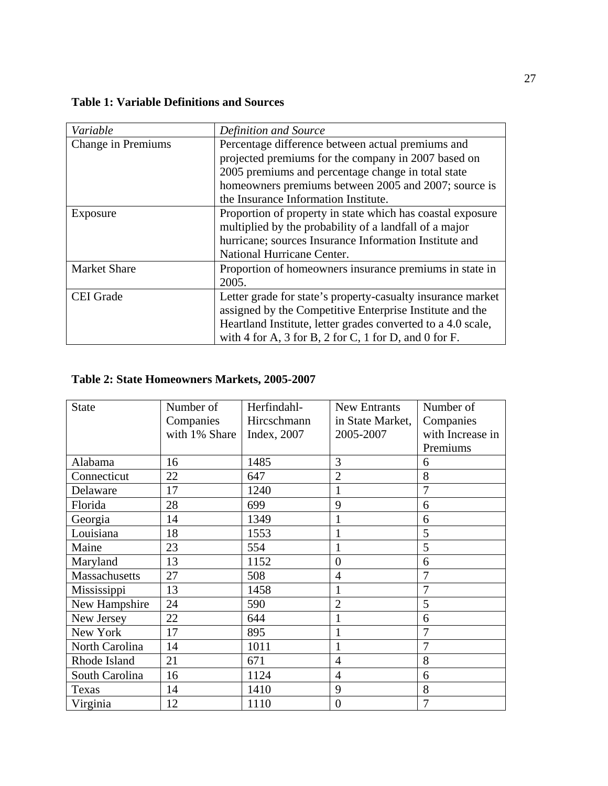### **Table 1: Variable Definitions and Sources**

| Variable            | Definition and Source                                        |  |  |  |  |
|---------------------|--------------------------------------------------------------|--|--|--|--|
| Change in Premiums  | Percentage difference between actual premiums and            |  |  |  |  |
|                     | projected premiums for the company in 2007 based on          |  |  |  |  |
|                     | 2005 premiums and percentage change in total state           |  |  |  |  |
|                     | homeowners premiums between 2005 and 2007; source is         |  |  |  |  |
|                     | the Insurance Information Institute.                         |  |  |  |  |
| Exposure            | Proportion of property in state which has coastal exposure   |  |  |  |  |
|                     | multiplied by the probability of a landfall of a major       |  |  |  |  |
|                     | hurricane; sources Insurance Information Institute and       |  |  |  |  |
|                     | National Hurricane Center.                                   |  |  |  |  |
| <b>Market Share</b> | Proportion of homeowners insurance premiums in state in      |  |  |  |  |
|                     | 2005.                                                        |  |  |  |  |
| <b>CEI</b> Grade    | Letter grade for state's property-casualty insurance market  |  |  |  |  |
|                     | assigned by the Competitive Enterprise Institute and the     |  |  |  |  |
|                     | Heartland Institute, letter grades converted to a 4.0 scale, |  |  |  |  |
|                     | with 4 for A, 3 for B, 2 for C, 1 for D, and 0 for F.        |  |  |  |  |

## **Table 2: State Homeowners Markets, 2005-2007**

| <b>State</b>   | Number of<br>Companies<br>with 1% Share | Herfindahl-<br>Hircschmann<br>Index, 2007 | <b>New Entrants</b><br>in State Market,<br>2005-2007 | Number of<br>Companies<br>with Increase in |
|----------------|-----------------------------------------|-------------------------------------------|------------------------------------------------------|--------------------------------------------|
|                |                                         |                                           |                                                      | Premiums                                   |
| Alabama        | 16                                      | 1485                                      | 3                                                    | 6                                          |
| Connecticut    | 22                                      | 647                                       | $\overline{2}$                                       | 8                                          |
| Delaware       | 17                                      | 1240                                      | $\mathbf{1}$                                         | 7                                          |
| Florida        | 28                                      | 699                                       | 9                                                    | 6                                          |
| Georgia        | 14                                      | 1349                                      | $\mathbf{1}$                                         | 6                                          |
| Louisiana      | 18                                      | 1553                                      | 1                                                    | 5                                          |
| Maine          | 23                                      | 554                                       | $\mathbf{1}$                                         | 5                                          |
| Maryland       | 13                                      | 1152                                      | $\overline{0}$                                       | 6                                          |
| Massachusetts  | 27                                      | 508                                       | $\overline{4}$                                       | 7                                          |
| Mississippi    | 13                                      | 1458                                      | $\mathbf{1}$                                         | 7                                          |
| New Hampshire  | 24                                      | 590                                       | $\overline{2}$                                       | 5                                          |
| New Jersey     | 22                                      | 644                                       | $\mathbf{1}$                                         | 6                                          |
| New York       | 17                                      | 895                                       | 1                                                    | 7                                          |
| North Carolina | 14                                      | 1011                                      | $\mathbf{1}$                                         | 7                                          |
| Rhode Island   | 21                                      | 671                                       | $\overline{4}$                                       | 8                                          |
| South Carolina | 16                                      | 1124                                      | $\overline{4}$                                       | 6                                          |
| Texas          | 14                                      | 1410                                      | 9                                                    | 8                                          |
| Virginia       | 12                                      | 1110                                      | $\boldsymbol{0}$                                     | 7                                          |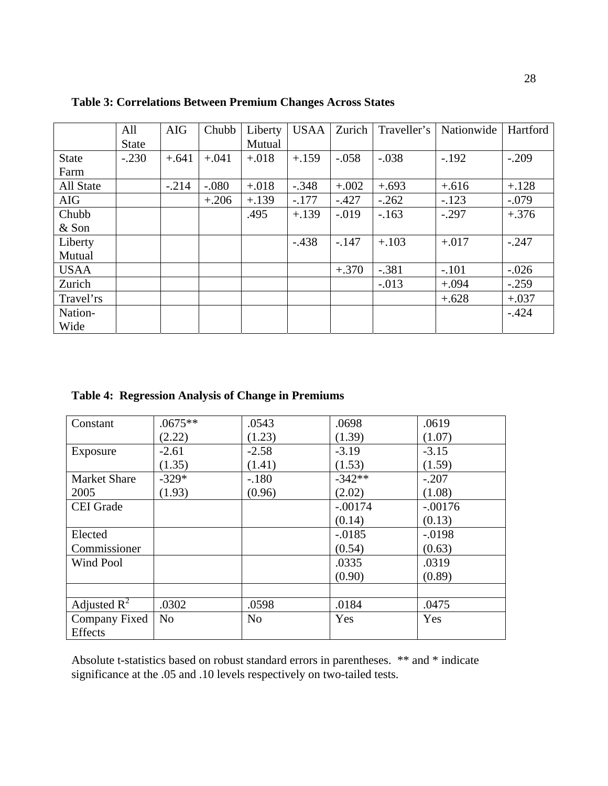|              | All          | AIG     | Chubb   | Liberty | <b>USAA</b> | Zurich  | Traveller's | Nationwide | Hartford |
|--------------|--------------|---------|---------|---------|-------------|---------|-------------|------------|----------|
|              | <b>State</b> |         |         | Mutual  |             |         |             |            |          |
| <b>State</b> | $-.230$      | $+.641$ | $+.041$ | $+.018$ | $+.159$     | $-.058$ | $-.038$     | $-.192$    | $-.209$  |
| Farm         |              |         |         |         |             |         |             |            |          |
| All State    |              | $-.214$ | $-.080$ | $+.018$ | $-.348$     | $+.002$ | $+.693$     | $+.616$    | $+.128$  |
| <b>AIG</b>   |              |         | $+.206$ | $+.139$ | $-.177$     | $-.427$ | $-.262$     | $-.123$    | $-.079$  |
| Chubb        |              |         |         | .495    | $+.139$     | $-.019$ | $-.163$     | $-.297$    | $+.376$  |
| $&$ Son      |              |         |         |         |             |         |             |            |          |
| Liberty      |              |         |         |         | $-.438$     | $-.147$ | $+.103$     | $+.017$    | $-.247$  |
| Mutual       |              |         |         |         |             |         |             |            |          |
| <b>USAA</b>  |              |         |         |         |             | $+.370$ | $-.381$     | $-.101$    | $-.026$  |
| Zurich       |              |         |         |         |             |         | $-.013$     | $+.094$    | $-.259$  |
| Travel'rs    |              |         |         |         |             |         |             | $+.628$    | $+.037$  |
| Nation-      |              |         |         |         |             |         |             |            | $-.424$  |
| Wide         |              |         |         |         |             |         |             |            |          |

**Table 3: Correlations Between Premium Changes Across States** 

**Table 4: Regression Analysis of Change in Premiums** 

| Constant                 | $.0675**$      | .0543          | .0698     | .0619     |
|--------------------------|----------------|----------------|-----------|-----------|
|                          | (2.22)         | (1.23)         | (1.39)    | (1.07)    |
|                          |                |                |           |           |
| Exposure                 | $-2.61$        | $-2.58$        | $-3.19$   | $-3.15$   |
|                          | (1.35)         | (1.41)         | (1.53)    | (1.59)    |
| <b>Market Share</b>      | $-329*$        | $-.180$        | $-342**$  | $-.207$   |
| 2005                     | (1.93)         | (0.96)         | (2.02)    | (1.08)    |
| <b>CEI</b> Grade         |                |                | $-.00174$ | $-.00176$ |
|                          |                |                | (0.14)    | (0.13)    |
| Elected                  |                |                | $-.0185$  | $-.0198$  |
| Commissioner             |                |                | (0.54)    | (0.63)    |
| Wind Pool                |                |                | .0335     | .0319     |
|                          |                |                | (0.90)    | (0.89)    |
|                          |                |                |           |           |
| Adjusted $R^2$           | .0302          | .0598          | .0184     | .0475     |
| Company Fixed<br>Effects | N <sub>o</sub> | N <sub>o</sub> | Yes       | Yes       |

Absolute t-statistics based on robust standard errors in parentheses. \*\* and \* indicate significance at the .05 and .10 levels respectively on two-tailed tests.